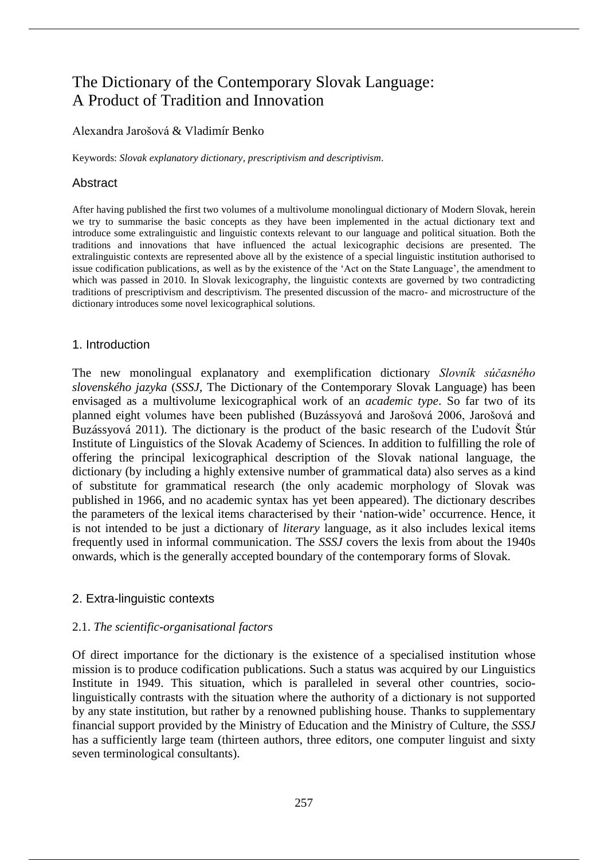# The Dictionary of the Contemporary Slovak Language: A Product of Tradition and Innovation

## Alexandra Jarošová & Vladimír Benko

Keywords: *Slovak explanatory dictionary*, *prescriptivism and descriptivism*.

## Abstract

After having published the first two volumes of a multivolume monolingual dictionary of Modern Slovak, herein we try to summarise the basic concepts as they have been implemented in the actual dictionary text and introduce some extralinguistic and linguistic contexts relevant to our language and political situation. Both the traditions and innovations that have influenced the actual lexicographic decisions are presented. The extralinguistic contexts are represented above all by the existence of a special linguistic institution authorised to issue codification publications, as well as by the existence of the 'Act on the State Language', the amendment to which was passed in 2010. In Slovak lexicography, the linguistic contexts are governed by two contradicting traditions of prescriptivism and descriptivism. The presented discussion of the macro- and microstructure of the dictionary introduces some novel lexicographical solutions.

## 1. Introduction

The new monolingual explanatory and exemplification dictionary *Slovník súčasného slovenského jazyka* (*SSSJ*, The Dictionary of the Contemporary Slovak Language) has been envisaged as a multivolume lexicographical work of an *academic type*. So far two of its planned eight volumes have been published (Buzássyová and Jarošová 2006, Jarošová and Buzássyová 2011). The dictionary is the product of the basic research of the Ľudovít Štúr Institute of Linguistics of the Slovak Academy of Sciences. In addition to fulfilling the role of offering the principal lexicographical description of the Slovak national language, the dictionary (by including a highly extensive number of grammatical data) also serves as a kind of substitute for grammatical research (the only academic morphology of Slovak was published in 1966, and no academic syntax has yet been appeared). The dictionary describes the parameters of the lexical items characterised by their 'nation-wide' occurrence. Hence, it is not intended to be just a dictionary of *literary* language, as it also includes lexical items frequently used in informal communication. The *SSSJ* covers the lexis from about the 1940s onwards, which is the generally accepted boundary of the contemporary forms of Slovak.

# 2. Extra-linguistic contexts

## 2.1. *The scientific-organisational factors*

Of direct importance for the dictionary is the existence of a specialised institution whose mission is to produce codification publications. Such a status was acquired by our Linguistics Institute in 1949. This situation, which is paralleled in several other countries, sociolinguistically contrasts with the situation where the authority of a dictionary is not supported by any state institution, but rather by a renowned publishing house. Thanks to supplementary financial support provided by the Ministry of Education and the Ministry of Culture, the *SSSJ*  has a sufficiently large team (thirteen authors, three editors, one computer linguist and sixty seven terminological consultants).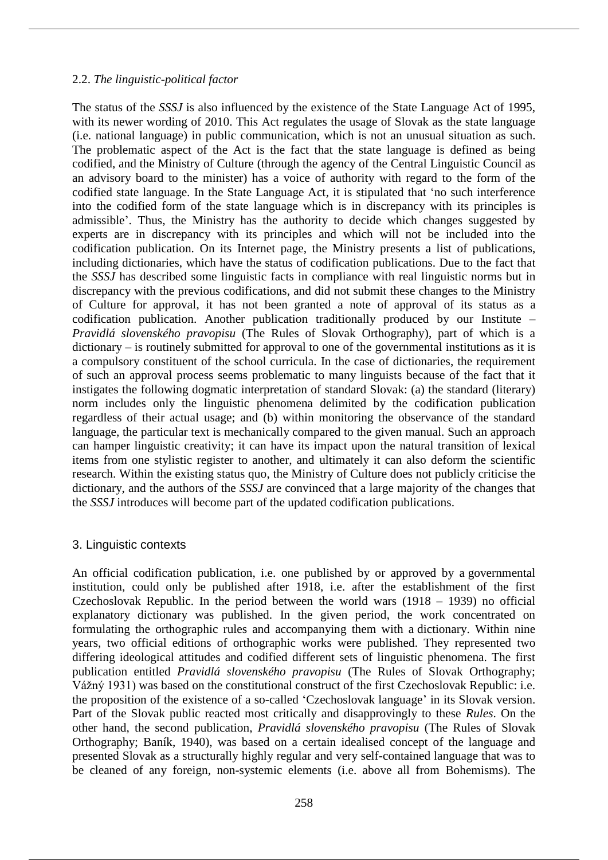#### 2.2. *The linguistic-political factor*

The status of the *SSSJ* is also influenced by the existence of the State Language Act of 1995, with its newer wording of 2010. This Act regulates the usage of Slovak as the state language (i.e. national language) in public communication, which is not an unusual situation as such. The problematic aspect of the Act is the fact that the state language is defined as being codified, and the Ministry of Culture (through the agency of the Central Linguistic Council as an advisory board to the minister) has a voice of authority with regard to the form of the codified state language. In the State Language Act, it is stipulated that 'no such interference into the codified form of the state language which is in discrepancy with its principles is admissible'. Thus, the Ministry has the authority to decide which changes suggested by experts are in discrepancy with its principles and which will not be included into the codification publication. On its Internet page, the Ministry presents a list of publications, including dictionaries, which have the status of codification publications. Due to the fact that the *SSSJ* has described some linguistic facts in compliance with real linguistic norms but in discrepancy with the previous codifications, and did not submit these changes to the Ministry of Culture for approval, it has not been granted a note of approval of its status as a codification publication. Another publication traditionally produced by our Institute – *Pravidlá slovenského pravopisu* (The Rules of Slovak Orthography), part of which is a dictionary – is routinely submitted for approval to one of the governmental institutions as it is a compulsory constituent of the school curricula. In the case of dictionaries, the requirement of such an approval process seems problematic to many linguists because of the fact that it instigates the following dogmatic interpretation of standard Slovak: (a) the standard (literary) norm includes only the linguistic phenomena delimited by the codification publication regardless of their actual usage; and (b) within monitoring the observance of the standard language, the particular text is mechanically compared to the given manual. Such an approach can hamper linguistic creativity; it can have its impact upon the natural transition of lexical items from one stylistic register to another, and ultimately it can also deform the scientific research. Within the existing status quo, the Ministry of Culture does not publicly criticise the dictionary, and the authors of the *SSSJ* are convinced that a large majority of the changes that the *SSSJ* introduces will become part of the updated codification publications.

## 3. Linguistic contexts

An official codification publication, i.e. one published by or approved by a governmental institution, could only be published after 1918, i.e. after the establishment of the first Czechoslovak Republic. In the period between the world wars (1918 – 1939) no official explanatory dictionary was published. In the given period, the work concentrated on formulating the orthographic rules and accompanying them with a dictionary. Within nine years, two official editions of orthographic works were published. They represented two differing ideological attitudes and codified different sets of linguistic phenomena. The first publication entitled *Pravidlá slovenského pravopisu* (The Rules of Slovak Orthography; Vážný 1931) was based on the constitutional construct of the first Czechoslovak Republic: i.e. the proposition of the existence of a so-called 'Czechoslovak language' in its Slovak version. Part of the Slovak public reacted most critically and disapprovingly to these *Rules*. On the other hand, the second publication, *Pravidlá slovenského pravopisu* (The Rules of Slovak Orthography; Baník, 1940), was based on a certain idealised concept of the language and presented Slovak as a structurally highly regular and very self-contained language that was to be cleaned of any foreign, non-systemic elements (i.e. above all from Bohemisms). The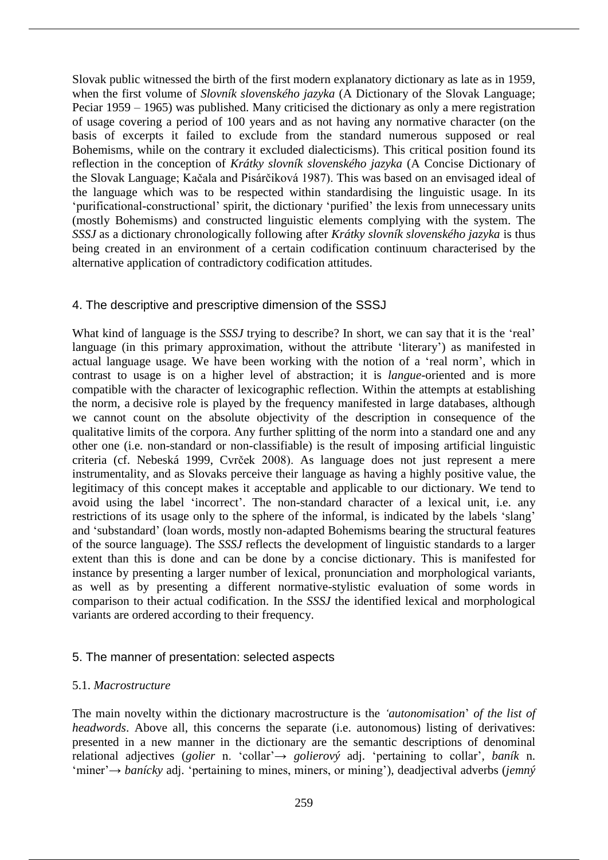Slovak public witnessed the birth of the first modern explanatory dictionary as late as in 1959, when the first volume of *Slovník slovenského jazyka* (A Dictionary of the Slovak Language; Peciar 1959 – 1965) was published. Many criticised the dictionary as only a mere registration of usage covering a period of 100 years and as not having any normative character (on the basis of excerpts it failed to exclude from the standard numerous supposed or real Bohemisms, while on the contrary it excluded dialecticisms). This critical position found its reflection in the conception of *Krátky slovník slovenského jazyka* (A Concise Dictionary of the Slovak Language; Kačala and Pisárčiková 1987). This was based on an envisaged ideal of the language which was to be respected within standardising the linguistic usage. In its 'purificational-constructional' spirit, the dictionary 'purified' the lexis from unnecessary units (mostly Bohemisms) and constructed linguistic elements complying with the system. The *SSSJ* as a dictionary chronologically following after *Krátky slovník slovenského jazyka* is thus being created in an environment of a certain codification continuum characterised by the alternative application of contradictory codification attitudes.

# 4. The descriptive and prescriptive dimension of the SSSJ

What kind of language is the *SSSJ* trying to describe? In short, we can say that it is the 'real' language (in this primary approximation, without the attribute 'literary') as manifested in actual language usage. We have been working with the notion of a 'real norm', which in contrast to usage is on a higher level of abstraction; it is *langue*-oriented and is more compatible with the character of lexicographic reflection. Within the attempts at establishing the norm, a decisive role is played by the frequency manifested in large databases, although we cannot count on the absolute objectivity of the description in consequence of the qualitative limits of the corpora. Any further splitting of the norm into a standard one and any other one (i.e. non-standard or non-classifiable) is the result of imposing artificial linguistic criteria (cf. Nebeská 1999, Cvrček 2008). As language does not just represent a mere instrumentality, and as Slovaks perceive their language as having a highly positive value, the legitimacy of this concept makes it acceptable and applicable to our dictionary. We tend to avoid using the label 'incorrect'. The non-standard character of a lexical unit, i.e. any restrictions of its usage only to the sphere of the informal, is indicated by the labels 'slang' and 'substandard' (loan words, mostly non-adapted Bohemisms bearing the structural features of the source language). The *SSSJ* reflects the development of linguistic standards to a larger extent than this is done and can be done by a concise dictionary. This is manifested for instance by presenting a larger number of lexical, pronunciation and morphological variants, as well as by presenting a different normative-stylistic evaluation of some words in comparison to their actual codification. In the *SSSJ* the identified lexical and morphological variants are ordered according to their frequency.

## 5. The manner of presentation: selected aspects

## 5.1. *Macrostructure*

The main novelty within the dictionary macrostructure is the *'autonomisation*' *of the list of headwords*. Above all, this concerns the separate (i.e. autonomous) listing of derivatives: presented in a new manner in the dictionary are the semantic descriptions of denominal relational adjectives (*golier* n. 'collar'→ *golierový* adj. 'pertaining to collar', *baník* n. 'miner'→ *banícky* adj. 'pertaining to mines, miners, or mining'), deadjectival adverbs (*jemný*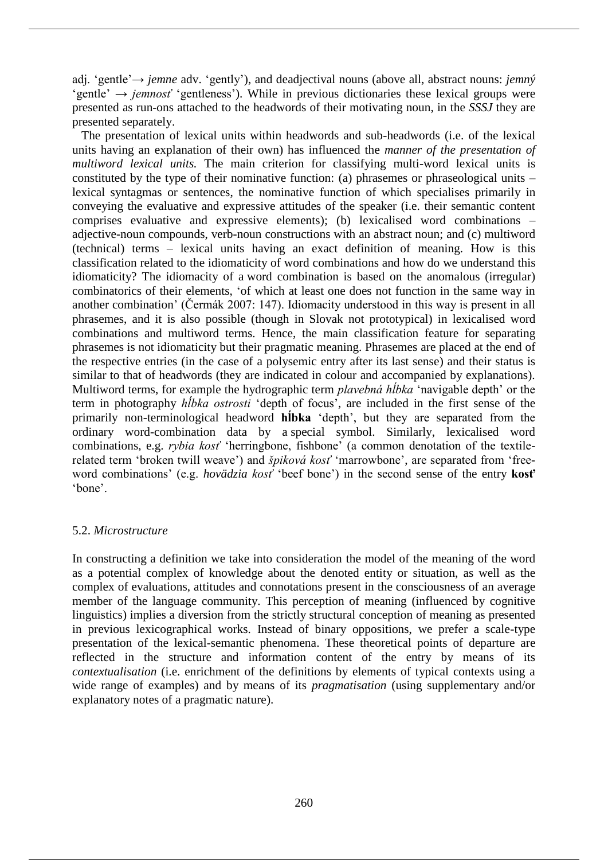adj. 'gentle'→ *jemne* adv. 'gently'), and deadjectival nouns (above all, abstract nouns: *jemný* 'gentle' → *jemnosť* 'gentleness'). While in previous dictionaries these lexical groups were presented as run-ons attached to the headwords of their motivating noun, in the *SSSJ* they are presented separately.

The presentation of lexical units within headwords and sub-headwords (i.e. of the lexical units having an explanation of their own) has influenced the *manner of the presentation of multiword lexical units.* The main criterion for classifying multi-word lexical units is constituted by the type of their nominative function: (a) phrasemes or phraseological units – lexical syntagmas or sentences, the nominative function of which specialises primarily in conveying the evaluative and expressive attitudes of the speaker (i.e. their semantic content comprises evaluative and expressive elements); (b) lexicalised word combinations – adjective-noun compounds, verb-noun constructions with an abstract noun; and (c) multiword (technical) terms – lexical units having an exact definition of meaning. How is this classification related to the idiomaticity of word combinations and how do we understand this idiomaticity? The idiomacity of a word combination is based on the anomalous (irregular) combinatorics of their elements, 'of which at least one does not function in the same way in another combination' (Čermák 2007: 147). Idiomacity understood in this way is present in all phrasemes, and it is also possible (though in Slovak not prototypical) in lexicalised word combinations and multiword terms. Hence, the main classification feature for separating phrasemes is not idiomaticity but their pragmatic meaning. Phrasemes are placed at the end of the respective entries (in the case of a polysemic entry after its last sense) and their status is similar to that of headwords (they are indicated in colour and accompanied by explanations). Multiword terms, for example the hydrographic term *plavebná hĺbka* 'navigable depth' or the term in photography *hĺbka ostrosti* 'depth of focus', are included in the first sense of the primarily non-terminological headword **hĺbka** 'depth', but they are separated from the ordinary word-combination data by a special symbol. Similarly, lexicalised word combinations, e.g. *rybia kosť* 'herringbone, fishbone' (a common denotation of the textilerelated term 'broken twill weave') and *špiková kosť* 'marrowbone', are separated from 'freeword combinations' (e.g. *hovädzia kosť* 'beef bone') in the second sense of the entry **kosť**  'bone'.

# 5.2. *Microstructure*

In constructing a definition we take into consideration the model of the meaning of the word as a potential complex of knowledge about the denoted entity or situation, as well as the complex of evaluations, attitudes and connotations present in the consciousness of an average member of the language community. This perception of meaning (influenced by cognitive linguistics) implies a diversion from the strictly structural conception of meaning as presented in previous lexicographical works. Instead of binary oppositions, we prefer a scale-type presentation of the lexical-semantic phenomena. These theoretical points of departure are reflected in the structure and information content of the entry by means of its *contextualisation* (i.e. enrichment of the definitions by elements of typical contexts using a wide range of examples) and by means of its *pragmatisation* (using supplementary and/or explanatory notes of a pragmatic nature).